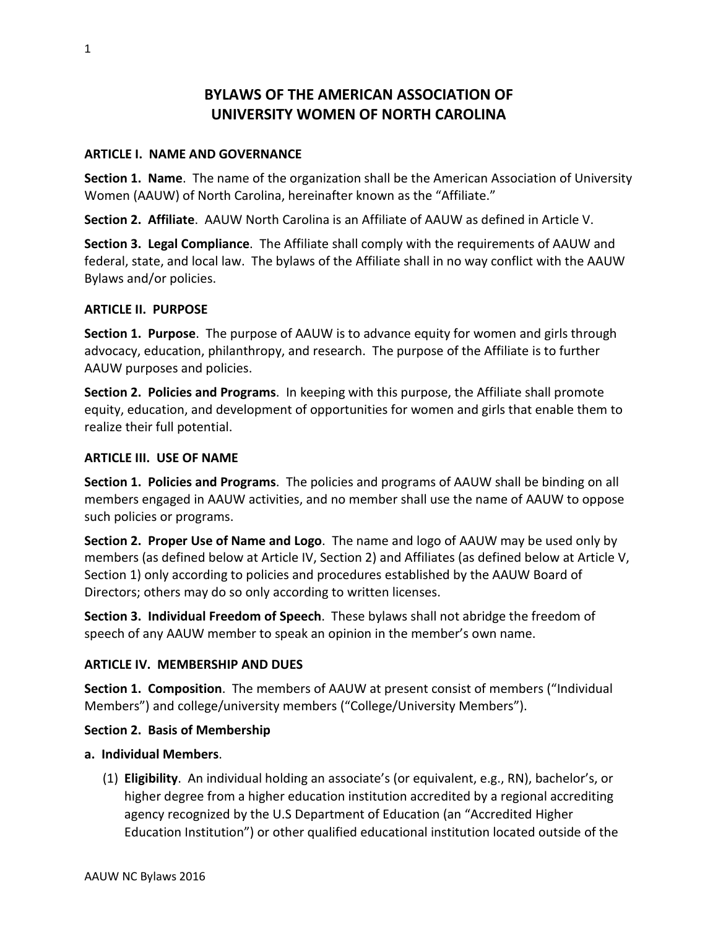# **BYLAWS OF THE AMERICAN ASSOCIATION OF UNIVERSITY WOMEN OF NORTH CAROLINA**

#### **ARTICLE I. NAME AND GOVERNANCE**

**Section 1. Name**. The name of the organization shall be the American Association of University Women (AAUW) of North Carolina, hereinafter known as the "Affiliate."

**Section 2. Affiliate**. AAUW North Carolina is an Affiliate of AAUW as defined in Article V.

**Section 3. Legal Compliance**. The Affiliate shall comply with the requirements of AAUW and federal, state, and local law. The bylaws of the Affiliate shall in no way conflict with the AAUW Bylaws and/or policies.

#### **ARTICLE II. PURPOSE**

**Section 1. Purpose**. The purpose of AAUW is to advance equity for women and girls through advocacy, education, philanthropy, and research. The purpose of the Affiliate is to further AAUW purposes and policies.

**Section 2. Policies and Programs**. In keeping with this purpose, the Affiliate shall promote equity, education, and development of opportunities for women and girls that enable them to realize their full potential.

#### **ARTICLE III. USE OF NAME**

**Section 1. Policies and Programs**. The policies and programs of AAUW shall be binding on all members engaged in AAUW activities, and no member shall use the name of AAUW to oppose such policies or programs.

**Section 2. Proper Use of Name and Logo**. The name and logo of AAUW may be used only by members (as defined below at Article IV, Section 2) and Affiliates (as defined below at Article V, Section 1) only according to policies and procedures established by the AAUW Board of Directors; others may do so only according to written licenses.

**Section 3. Individual Freedom of Speech**. These bylaws shall not abridge the freedom of speech of any AAUW member to speak an opinion in the member's own name.

#### **ARTICLE IV. MEMBERSHIP AND DUES**

**Section 1. Composition**. The members of AAUW at present consist of members ("Individual Members") and college/university members ("College/University Members").

#### **Section 2. Basis of Membership**

#### **a. Individual Members**.

(1) **Eligibility**. An individual holding an associate's (or equivalent, e.g., RN), bachelor's, or higher degree from a higher education institution accredited by a regional accrediting agency recognized by the U.S Department of Education (an "Accredited Higher Education Institution") or other qualified educational institution located outside of the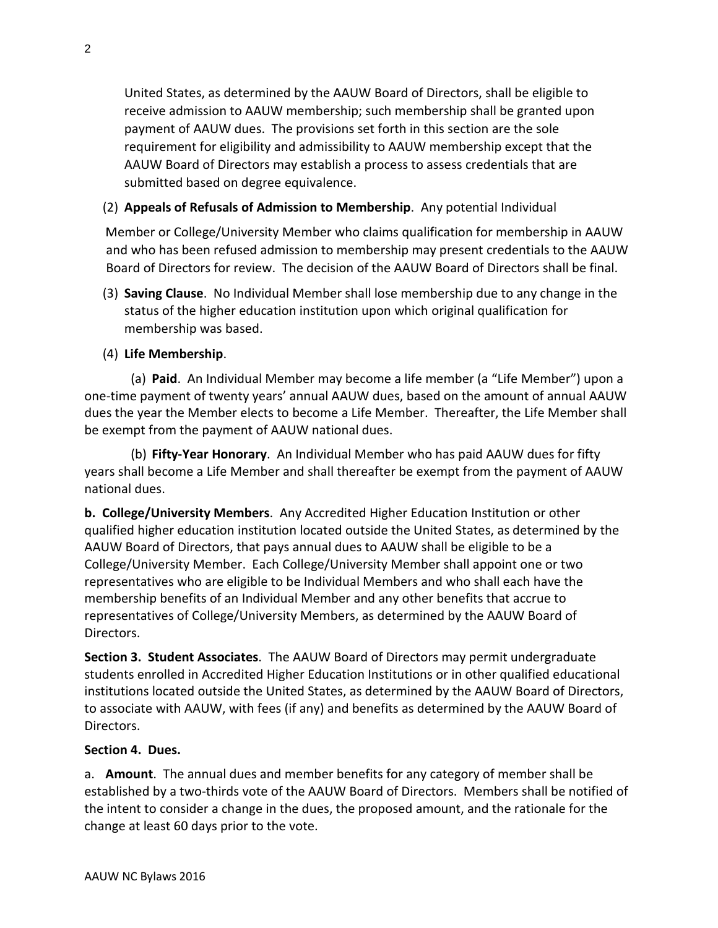United States, as determined by the AAUW Board of Directors, shall be eligible to receive admission to AAUW membership; such membership shall be granted upon payment of AAUW dues. The provisions set forth in this section are the sole requirement for eligibility and admissibility to AAUW membership except that the AAUW Board of Directors may establish a process to assess credentials that are submitted based on degree equivalence.

#### (2) **Appeals of Refusals of Admission to Membership**. Any potential Individual

Member or College/University Member who claims qualification for membership in AAUW and who has been refused admission to membership may present credentials to the AAUW Board of Directors for review. The decision of the AAUW Board of Directors shall be final.

(3) **Saving Clause**. No Individual Member shall lose membership due to any change in the status of the higher education institution upon which original qualification for membership was based.

#### (4) **Life Membership**.

(a) **Paid**. An Individual Member may become a life member (a "Life Member") upon a one-time payment of twenty years' annual AAUW dues, based on the amount of annual AAUW dues the year the Member elects to become a Life Member. Thereafter, the Life Member shall be exempt from the payment of AAUW national dues.

(b) **Fifty-Year Honorary**. An Individual Member who has paid AAUW dues for fifty years shall become a Life Member and shall thereafter be exempt from the payment of AAUW national dues.

**b. College/University Members**. Any Accredited Higher Education Institution or other qualified higher education institution located outside the United States, as determined by the AAUW Board of Directors, that pays annual dues to AAUW shall be eligible to be a College/University Member. Each College/University Member shall appoint one or two representatives who are eligible to be Individual Members and who shall each have the membership benefits of an Individual Member and any other benefits that accrue to representatives of College/University Members, as determined by the AAUW Board of Directors.

**Section 3. Student Associates**. The AAUW Board of Directors may permit undergraduate students enrolled in Accredited Higher Education Institutions or in other qualified educational institutions located outside the United States, as determined by the AAUW Board of Directors, to associate with AAUW, with fees (if any) and benefits as determined by the AAUW Board of Directors.

#### **Section 4. Dues.**

a. **Amount**. The annual dues and member benefits for any category of member shall be established by a two-thirds vote of the AAUW Board of Directors. Members shall be notified of the intent to consider a change in the dues, the proposed amount, and the rationale for the change at least 60 days prior to the vote.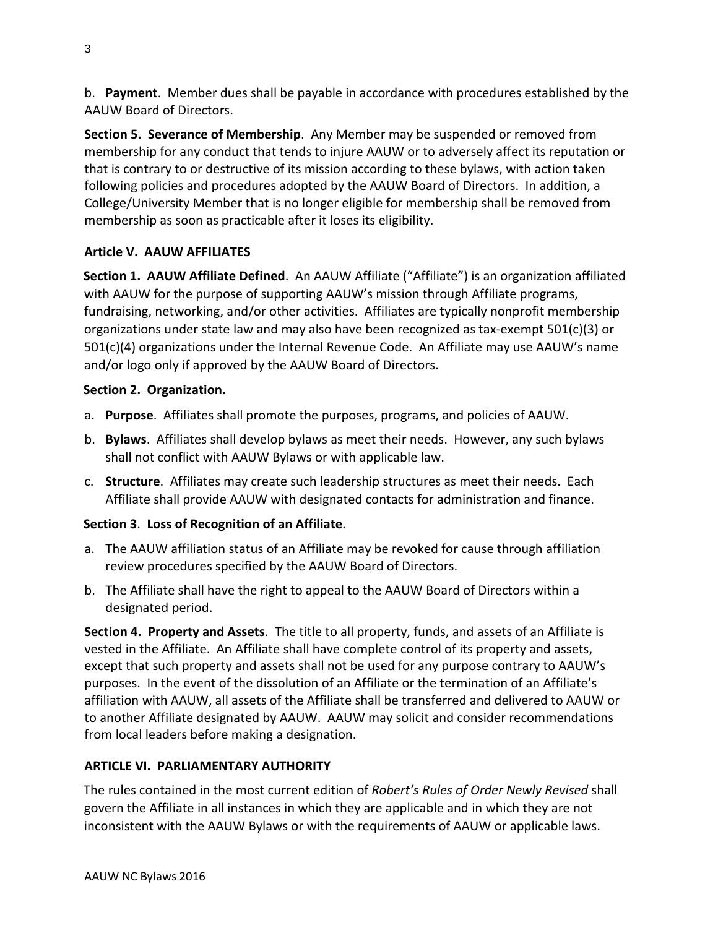b. **Payment**. Member dues shall be payable in accordance with procedures established by the AAUW Board of Directors.

**Section 5. Severance of Membership**. Any Member may be suspended or removed from membership for any conduct that tends to injure AAUW or to adversely affect its reputation or that is contrary to or destructive of its mission according to these bylaws, with action taken following policies and procedures adopted by the AAUW Board of Directors. In addition, a College/University Member that is no longer eligible for membership shall be removed from membership as soon as practicable after it loses its eligibility.

#### **Article V. AAUW AFFILIATES**

**Section 1. AAUW Affiliate Defined**. An AAUW Affiliate ("Affiliate") is an organization affiliated with AAUW for the purpose of supporting AAUW's mission through Affiliate programs, fundraising, networking, and/or other activities. Affiliates are typically nonprofit membership organizations under state law and may also have been recognized as tax-exempt 501(c)(3) or 501(c)(4) organizations under the Internal Revenue Code. An Affiliate may use AAUW's name and/or logo only if approved by the AAUW Board of Directors.

#### **Section 2. Organization.**

- a. **Purpose**. Affiliates shall promote the purposes, programs, and policies of AAUW.
- b. **Bylaws**. Affiliates shall develop bylaws as meet their needs. However, any such bylaws shall not conflict with AAUW Bylaws or with applicable law.
- c. **Structure**. Affiliates may create such leadership structures as meet their needs. Each Affiliate shall provide AAUW with designated contacts for administration and finance.

### **Section 3**. **Loss of Recognition of an Affiliate**.

- a. The AAUW affiliation status of an Affiliate may be revoked for cause through affiliation review procedures specified by the AAUW Board of Directors.
- b. The Affiliate shall have the right to appeal to the AAUW Board of Directors within a designated period.

**Section 4. Property and Assets**. The title to all property, funds, and assets of an Affiliate is vested in the Affiliate. An Affiliate shall have complete control of its property and assets, except that such property and assets shall not be used for any purpose contrary to AAUW's purposes. In the event of the dissolution of an Affiliate or the termination of an Affiliate's affiliation with AAUW, all assets of the Affiliate shall be transferred and delivered to AAUW or to another Affiliate designated by AAUW. AAUW may solicit and consider recommendations from local leaders before making a designation.

### **ARTICLE VI. PARLIAMENTARY AUTHORITY**

The rules contained in the most current edition of *Robert's Rules of Order Newly Revised* shall govern the Affiliate in all instances in which they are applicable and in which they are not inconsistent with the AAUW Bylaws or with the requirements of AAUW or applicable laws.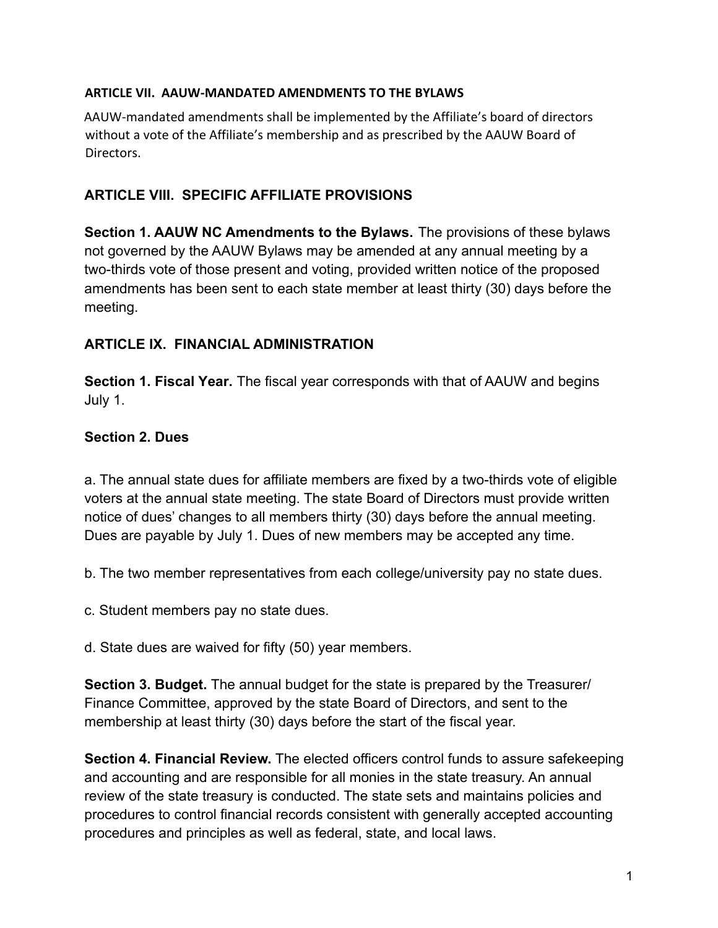### **ARTICLE VII. AAUW-MANDATED AMENDMENTS TO THE BYLAWS**

AAUW-mandated amendments shall be implemented by the Affiliate's board of directors without a vote of the Affiliate's membership and as prescribed by the AAUW Board of Directors.

# **ARTICLE VIII. SPECIFIC AFFILIATE PROVISIONS**

**Section 1. AAUW NC Amendments to the Bylaws.** The provisions of these bylaws not governed by the AAUW Bylaws may be amended at any annual meeting by a two-thirds vote of those present and voting, provided written notice of the proposed amendments has been sent to each state member at least thirty (30) days before the meeting.

## **ARTICLE IX. FINANCIAL ADMINISTRATION**

**Section 1. Fiscal Year.** The fiscal year corresponds with that of AAUW and begins July 1.

## **Section 2. Dues**

a. The annual state dues for affiliate members are fixed by a two-thirds vote of eligible voters at the annual state meeting. The state Board of Directors must provide written notice of dues' changes to all members thirty (30) days before the annual meeting. Dues are payable by July 1. Dues of new members may be accepted any time.

b. The two member representatives from each college/university pay no state dues.

c. Student members pay no state dues.

d. State dues are waived for fifty (50) year members.

**Section 3. Budget.** The annual budget for the state is prepared by the Treasurer/ Finance Committee, approved by the state Board of Directors, and sent to the membership at least thirty (30) days before the start of the fiscal year.

**Section 4. Financial Review.** The elected officers control funds to assure safekeeping and accounting and are responsible for all monies in the state treasury. An annual review of the state treasury is conducted. The state sets and maintains policies and procedures to control financial records consistent with generally accepted accounting procedures and principles as well as federal, state, and local laws.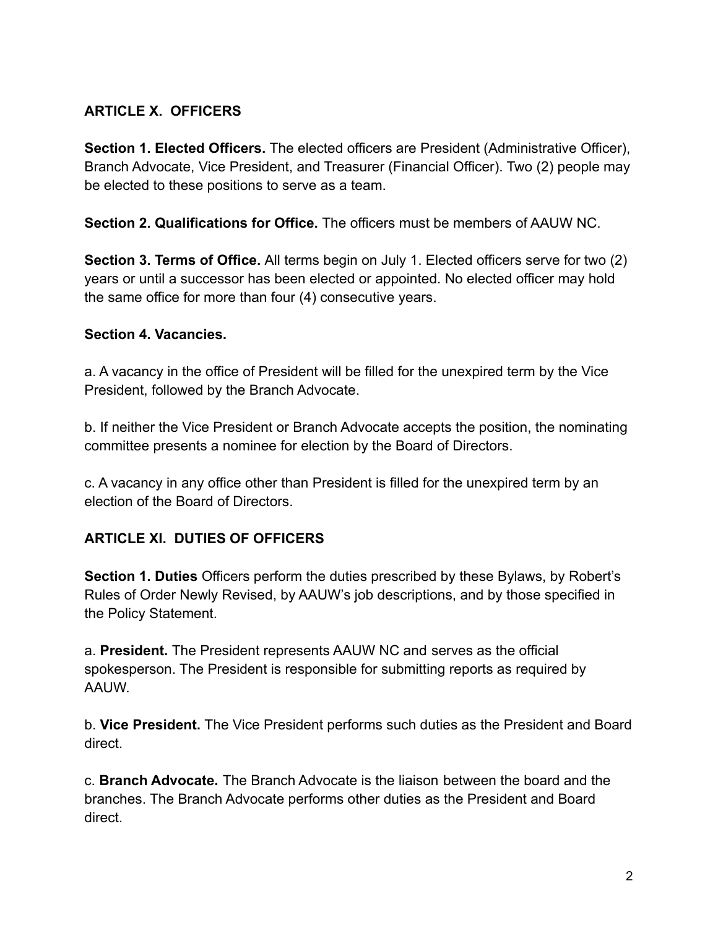# **ARTICLE X. OFFICERS**

**Section 1. Elected Officers.** The elected officers are President (Administrative Officer), Branch Advocate, Vice President, and Treasurer (Financial Officer). Two (2) people may be elected to these positions to serve as a team.

**Section 2. Qualifications for Office.** The officers must be members of AAUW NC.

**Section 3. Terms of Office.** All terms begin on July 1. Elected officers serve for two (2) years or until a successor has been elected or appointed. No elected officer may hold the same office for more than four (4) consecutive years.

#### **Section 4. Vacancies.**

a. A vacancy in the office of President will be filled for the unexpired term by the Vice President, followed by the Branch Advocate.

b. If neither the Vice President or Branch Advocate accepts the position, the nominating committee presents a nominee for election by the Board of Directors.

c. A vacancy in any office other than President is filled for the unexpired term by an election of the Board of Directors.

### **ARTICLE XI. DUTIES OF OFFICERS**

**Section 1. Duties** Officers perform the duties prescribed by these Bylaws, by Robert's Rules of Order Newly Revised, by AAUW's job descriptions, and by those specified in the Policy Statement.

a. **President.** The President represents AAUW NC and serves as the official spokesperson. The President is responsible for submitting reports as required by AAUW.

b. **Vice President.** The Vice President performs such duties as the President and Board direct.

c. **Branch Advocate.** The Branch Advocate is the liaison between the board and the branches. The Branch Advocate performs other duties as the President and Board direct.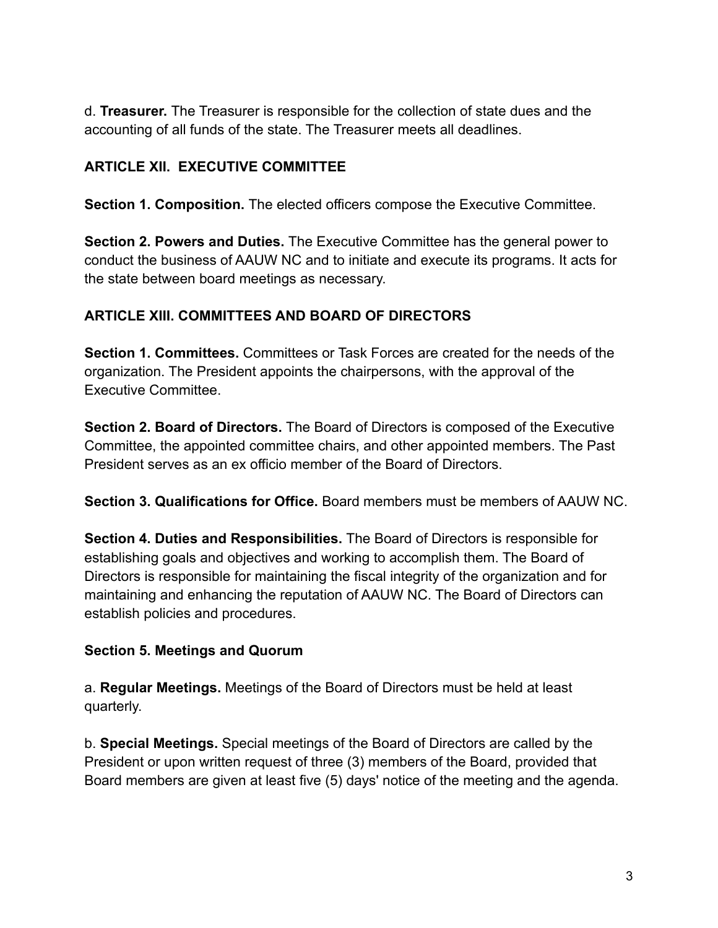d. **Treasurer.** The Treasurer is responsible for the collection of state dues and the accounting of all funds of the state. The Treasurer meets all deadlines.

# **ARTICLE XII. EXECUTIVE COMMITTEE**

**Section 1. Composition.** The elected officers compose the Executive Committee.

**Section 2. Powers and Duties.** The Executive Committee has the general power to conduct the business of AAUW NC and to initiate and execute its programs. It acts for the state between board meetings as necessary.

## **ARTICLE XIII. COMMITTEES AND BOARD OF DIRECTORS**

**Section 1. Committees.** Committees or Task Forces are created for the needs of the organization. The President appoints the chairpersons, with the approval of the Executive Committee.

**Section 2. Board of Directors.** The Board of Directors is composed of the Executive Committee, the appointed committee chairs, and other appointed members. The Past President serves as an ex officio member of the Board of Directors.

**Section 3. Qualifications for Office.** Board members must be members of AAUW NC.

**Section 4. Duties and Responsibilities.** The Board of Directors is responsible for establishing goals and objectives and working to accomplish them. The Board of Directors is responsible for maintaining the fiscal integrity of the organization and for maintaining and enhancing the reputation of AAUW NC. The Board of Directors can establish policies and procedures.

### **Section 5. Meetings and Quorum**

a. **Regular Meetings.** Meetings of the Board of Directors must be held at least quarterly.

b. **Special Meetings.** Special meetings of the Board of Directors are called by the President or upon written request of three (3) members of the Board, provided that Board members are given at least five (5) days' notice of the meeting and the agenda.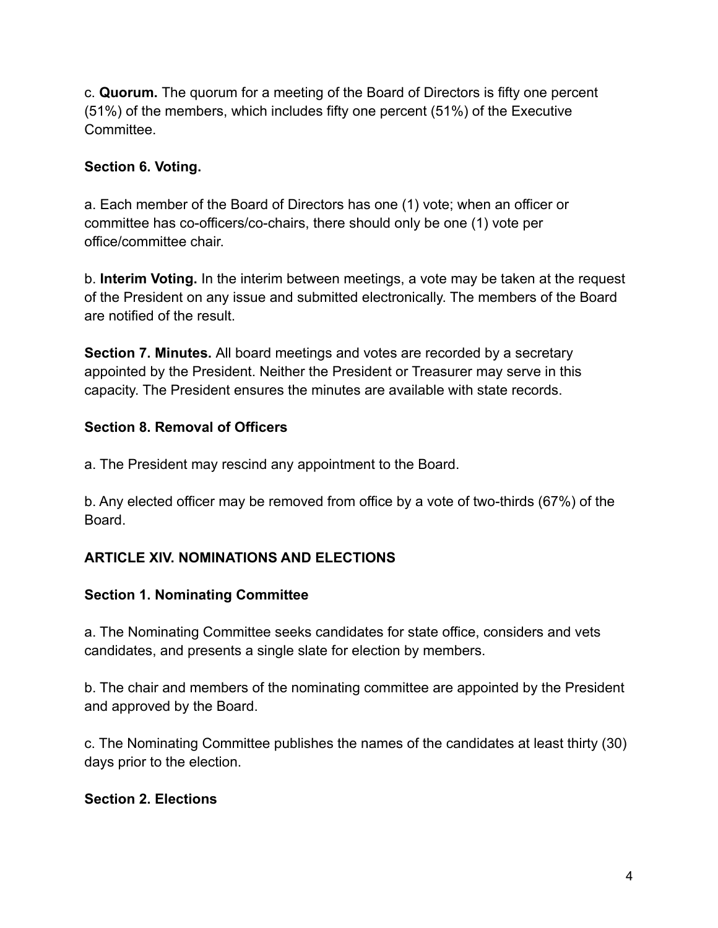c. **Quorum.** The quorum for a meeting of the Board of Directors is fifty one percent (51%) of the members, which includes fifty one percent (51%) of the Executive **Committee.** 

# **Section 6. Voting.**

a. Each member of the Board of Directors has one (1) vote; when an officer or committee has co-officers/co-chairs, there should only be one (1) vote per office/committee chair.

b. **Interim Voting.** In the interim between meetings, a vote may be taken at the request of the President on any issue and submitted electronically. The members of the Board are notified of the result.

**Section 7. Minutes.** All board meetings and votes are recorded by a secretary appointed by the President. Neither the President or Treasurer may serve in this capacity. The President ensures the minutes are available with state records.

## **Section 8. Removal of Officers**

a. The President may rescind any appointment to the Board.

b. Any elected officer may be removed from office by a vote of two-thirds (67%) of the Board.

# **ARTICLE XIV. NOMINATIONS AND ELECTIONS**

### **Section 1. Nominating Committee**

a. The Nominating Committee seeks candidates for state office, considers and vets candidates, and presents a single slate for election by members.

b. The chair and members of the nominating committee are appointed by the President and approved by the Board.

c. The Nominating Committee publishes the names of the candidates at least thirty (30) days prior to the election.

### **Section 2. Elections**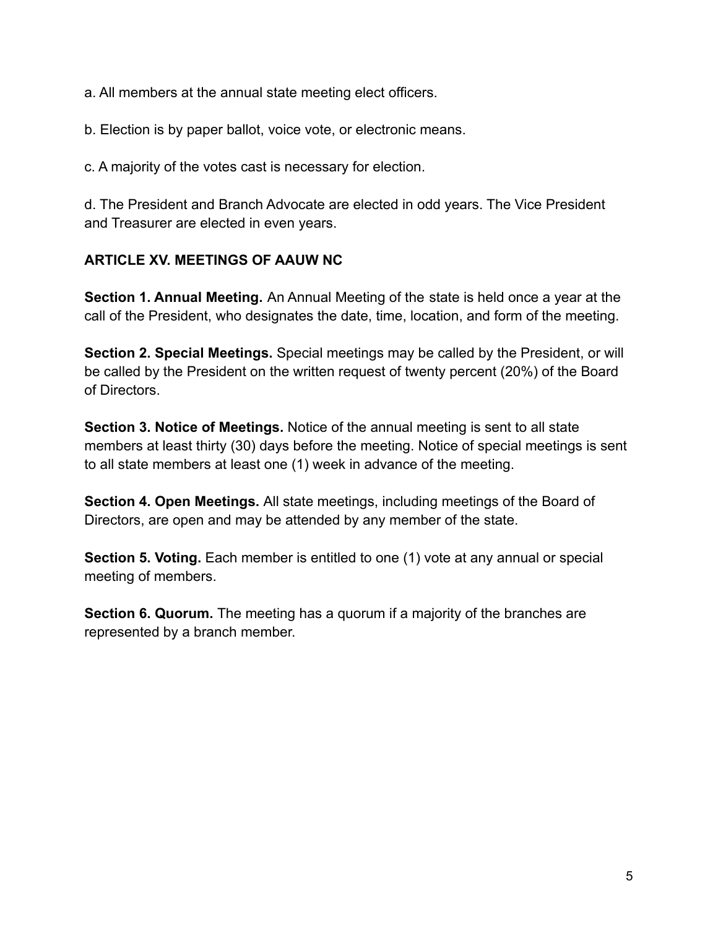a. All members at the annual state meeting elect officers.

b. Election is by paper ballot, voice vote, or electronic means.

c. A majority of the votes cast is necessary for election.

d. The President and Branch Advocate are elected in odd years. The Vice President and Treasurer are elected in even years.

## **ARTICLE XV. MEETINGS OF AAUW NC**

**Section 1. Annual Meeting.** An Annual Meeting of the state is held once a year at the call of the President, who designates the date, time, location, and form of the meeting.

**Section 2. Special Meetings.** Special meetings may be called by the President, or will be called by the President on the written request of twenty percent (20%) of the Board of Directors.

**Section 3. Notice of Meetings.** Notice of the annual meeting is sent to all state members at least thirty (30) days before the meeting. Notice of special meetings is sent to all state members at least one (1) week in advance of the meeting.

**Section 4. Open Meetings.** All state meetings, including meetings of the Board of Directors, are open and may be attended by any member of the state.

**Section 5. Voting.** Each member is entitled to one (1) vote at any annual or special meeting of members.

**Section 6. Quorum.** The meeting has a quorum if a majority of the branches are represented by a branch member.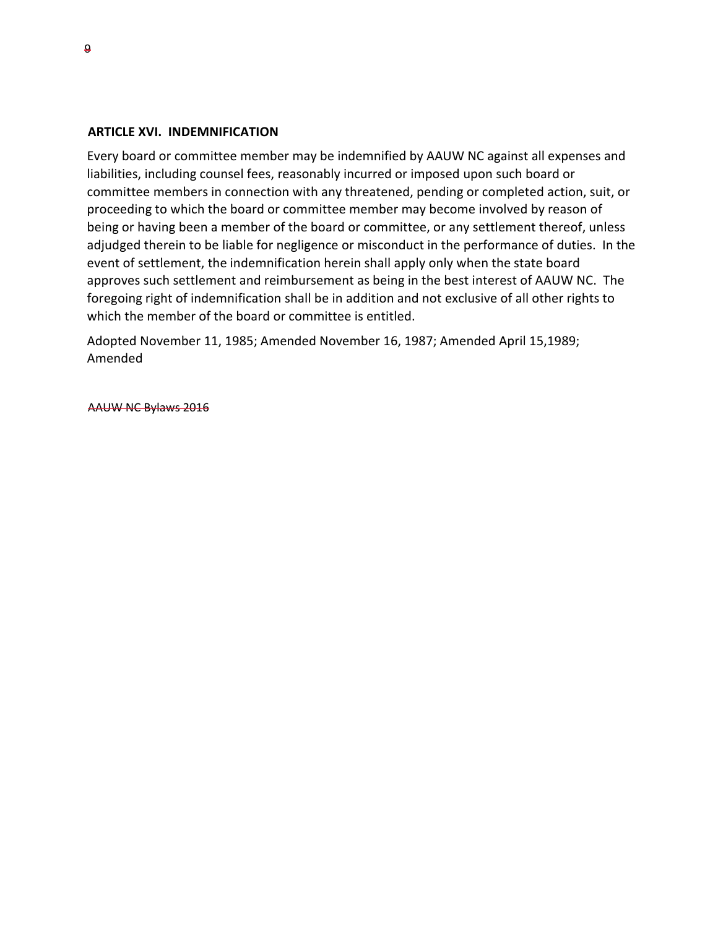#### **ARTICLE XVI. INDEMNIFICATION**

Every board or committee member may be indemnified by AAUW NC against all expenses and liabilities, including counsel fees, reasonably incurred or imposed upon such board or committee members in connection with any threatened, pending or completed action, suit, or proceeding to which the board or committee member may become involved by reason of being or having been a member of the board or committee, or any settlement thereof, unless adjudged therein to be liable for negligence or misconduct in the performance of duties. In the event of settlement, the indemnification herein shall apply only when the state board approves such settlement and reimbursement as being in the best interest of AAUW NC. The foregoing right of indemnification shall be in addition and not exclusive of all other rights to which the member of the board or committee is entitled.

Adopted November 11, 1985; Amended November 16, 1987; Amended April 15,1989; Amended

AAUW NC Bylaws 2016